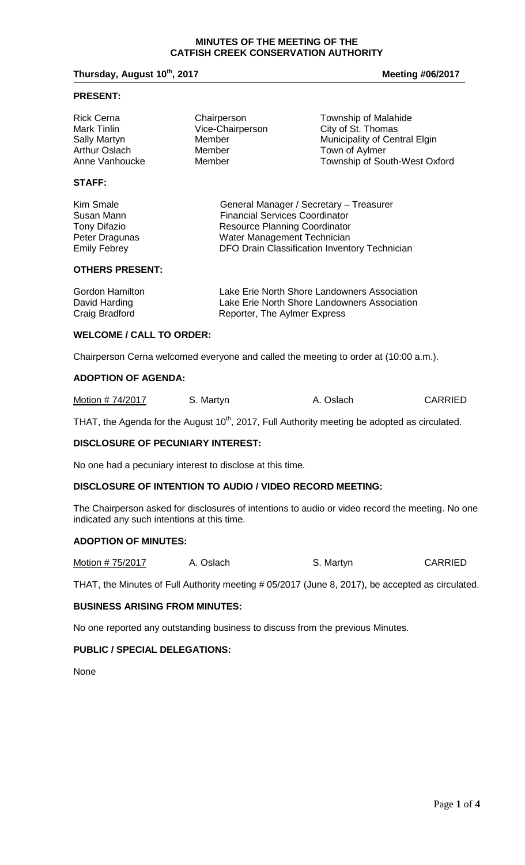#### **MINUTES OF THE MEETING OF THE CATFISH CREEK CONSERVATION AUTHORITY**

## **Thursday, August 10<sup>th</sup>, 2017 Meeting #06/2017 Meeting #06/2017**

#### **PRESENT:**

| <b>Rick Cerna</b>    | Chairperson      | Township of Malahide          |
|----------------------|------------------|-------------------------------|
| Mark Tinlin          | Vice-Chairperson | City of St. Thomas            |
| <b>Sally Martyn</b>  | Member           | Municipality of Central Elgin |
| <b>Arthur Oslach</b> | Member           | Town of Aylmer                |
| Anne Vanhoucke       | Member           | Township of South-West Oxford |

# **STAFF:**

Kim Smale General Manager / Secretary – Treasurer Susan Mann Financial Services Coordinator<br>
Tony Difazio **Francial Services Coordinator**<br>
Resource Planning Coordinator Tony Difazio **Resource Planning Coordinator**<br>
Peter Dragunas **Resource Water Management Technician** Peter Dragunas **Water Management Technician**<br>
Emily Febrey **Contains Contain Contract Information**<br>
DFO Drain Classification Invent DFO Drain Classification Inventory Technician

#### **OTHERS PRESENT:**

| Gordon Hamilton | Lake Erie North Shore Landowners Association |
|-----------------|----------------------------------------------|
| David Harding   | Lake Erie North Shore Landowners Association |
| Craig Bradford  | Reporter, The Aylmer Express                 |

## **WELCOME / CALL TO ORDER:**

Chairperson Cerna welcomed everyone and called the meeting to order at (10:00 a.m.).

## **ADOPTION OF AGENDA:**

| Motion # 74/2017 | S. Martyn | A. Oslach | <b>CARRIED</b> |
|------------------|-----------|-----------|----------------|
|------------------|-----------|-----------|----------------|

THAT, the Agenda for the August 10<sup>th</sup>, 2017, Full Authority meeting be adopted as circulated.

### **DISCLOSURE OF PECUNIARY INTEREST:**

No one had a pecuniary interest to disclose at this time.

### **DISCLOSURE OF INTENTION TO AUDIO / VIDEO RECORD MEETING:**

The Chairperson asked for disclosures of intentions to audio or video record the meeting. No one indicated any such intentions at this time.

## **ADOPTION OF MINUTES:**

| Motion # 75/2017 | A. Oslach | S. Martyn | <b>CARRIED</b> |
|------------------|-----------|-----------|----------------|
|------------------|-----------|-----------|----------------|

THAT, the Minutes of Full Authority meeting # 05/2017 (June 8, 2017), be accepted as circulated.

## **BUSINESS ARISING FROM MINUTES:**

No one reported any outstanding business to discuss from the previous Minutes.

## **PUBLIC / SPECIAL DELEGATIONS:**

None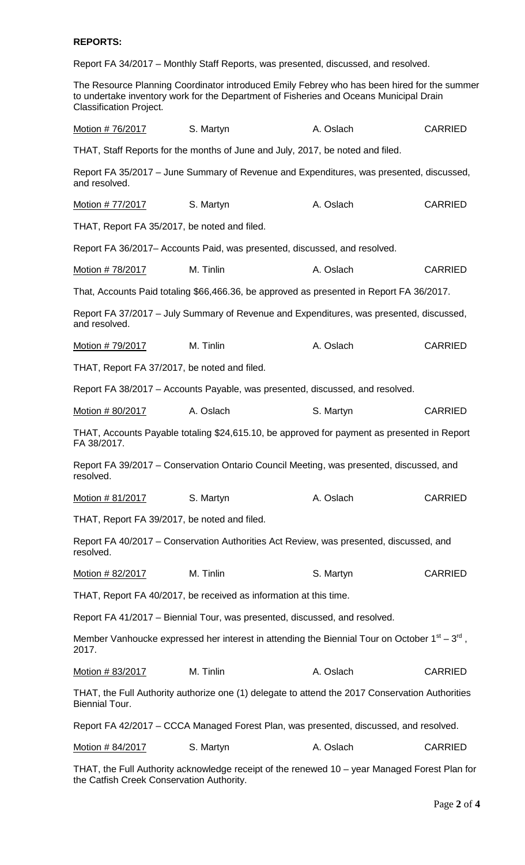# **REPORTS:**

Report FA 34/2017 – Monthly Staff Reports, was presented, discussed, and resolved.

The Resource Planning Coordinator introduced Emily Febrey who has been hired for the summer to undertake inventory work for the Department of Fisheries and Oceans Municipal Drain Classification Project.

| Motion #76/2017                                                                                      | S. Martyn                                                                                       | A. Oslach | <b>CARRIED</b> |
|------------------------------------------------------------------------------------------------------|-------------------------------------------------------------------------------------------------|-----------|----------------|
|                                                                                                      | THAT, Staff Reports for the months of June and July, 2017, be noted and filed.                  |           |                |
| and resolved.                                                                                        | Report FA 35/2017 - June Summary of Revenue and Expenditures, was presented, discussed,         |           |                |
| Motion # 77/2017                                                                                     | S. Martyn                                                                                       | A. Oslach | <b>CARRIED</b> |
| THAT, Report FA 35/2017, be noted and filed.                                                         |                                                                                                 |           |                |
|                                                                                                      | Report FA 36/2017– Accounts Paid, was presented, discussed, and resolved.                       |           |                |
| Motion # 78/2017                                                                                     | M. Tinlin                                                                                       | A. Oslach | <b>CARRIED</b> |
|                                                                                                      | That, Accounts Paid totaling \$66,466.36, be approved as presented in Report FA 36/2017.        |           |                |
| and resolved.                                                                                        | Report FA 37/2017 – July Summary of Revenue and Expenditures, was presented, discussed,         |           |                |
| Motion # 79/2017                                                                                     | M. Tinlin                                                                                       | A. Oslach | <b>CARRIED</b> |
| THAT, Report FA 37/2017, be noted and filed.                                                         |                                                                                                 |           |                |
|                                                                                                      | Report FA 38/2017 - Accounts Payable, was presented, discussed, and resolved.                   |           |                |
| Motion # 80/2017                                                                                     | A. Oslach                                                                                       | S. Martyn | <b>CARRIED</b> |
| FA 38/2017.                                                                                          | THAT, Accounts Payable totaling \$24,615.10, be approved for payment as presented in Report     |           |                |
| Report FA 39/2017 – Conservation Ontario Council Meeting, was presented, discussed, and<br>resolved. |                                                                                                 |           |                |
| Motion #81/2017                                                                                      | S. Martyn                                                                                       | A. Oslach | <b>CARRIED</b> |
| THAT, Report FA 39/2017, be noted and filed.                                                         |                                                                                                 |           |                |
| Report FA 40/2017 – Conservation Authorities Act Review, was presented, discussed, and<br>resolved.  |                                                                                                 |           |                |
| Motion # 82/2017                                                                                     | M. Tinlin                                                                                       | S. Martyn | <b>CARRIED</b> |
| THAT, Report FA 40/2017, be received as information at this time.                                    |                                                                                                 |           |                |
| Report FA 41/2017 – Biennial Tour, was presented, discussed, and resolved.                           |                                                                                                 |           |                |
| 2017.                                                                                                | Member Vanhoucke expressed her interest in attending the Biennial Tour on October $1st - 3rd$ , |           |                |
| Motion # 83/2017                                                                                     | M. Tinlin                                                                                       | A. Oslach | <b>CARRIED</b> |
| <b>Biennial Tour.</b>                                                                                | THAT, the Full Authority authorize one (1) delegate to attend the 2017 Conservation Authorities |           |                |
| Report FA 42/2017 – CCCA Managed Forest Plan, was presented, discussed, and resolved.                |                                                                                                 |           |                |
| Motion # 84/2017                                                                                     | S. Martyn                                                                                       | A. Oslach | <b>CARRIED</b> |

THAT, the Full Authority acknowledge receipt of the renewed 10 – year Managed Forest Plan for the Catfish Creek Conservation Authority.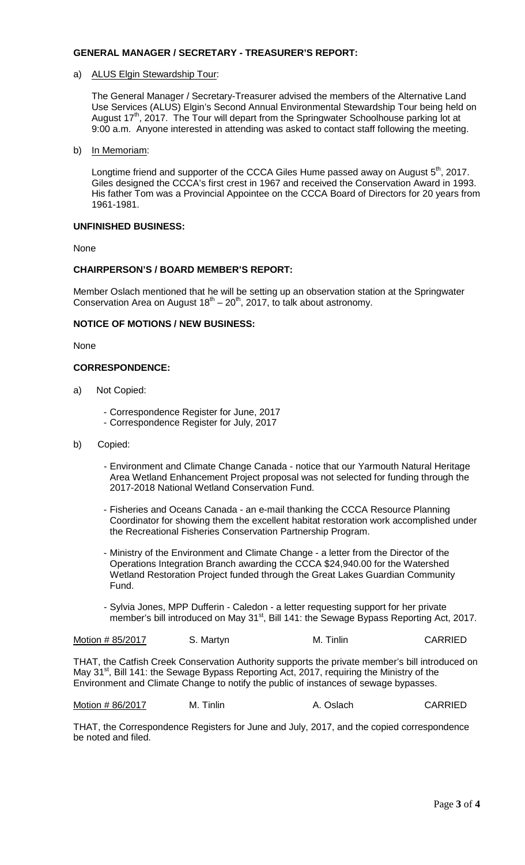# **GENERAL MANAGER / SECRETARY - TREASURER'S REPORT:**

## a) ALUS Elgin Stewardship Tour:

The General Manager / Secretary-Treasurer advised the members of the Alternative Land Use Services (ALUS) Elgin's Second Annual Environmental Stewardship Tour being held on August  $17<sup>th</sup>$ , 2017. The Tour will depart from the Springwater Schoolhouse parking lot at 9:00 a.m. Anyone interested in attending was asked to contact staff following the meeting.

b) In Memoriam:

Longtime friend and supporter of the CCCA Giles Hume passed away on August 5<sup>th</sup>, 2017. Giles designed the CCCA's first crest in 1967 and received the Conservation Award in 1993. His father Tom was a Provincial Appointee on the CCCA Board of Directors for 20 years from 1961-1981.

## **UNFINISHED BUSINESS:**

None

# **CHAIRPERSON'S / BOARD MEMBER'S REPORT:**

Member Oslach mentioned that he will be setting up an observation station at the Springwater Conservation Area on August  $18<sup>th</sup> - 20<sup>th</sup>$ , 2017, to talk about astronomy.

## **NOTICE OF MOTIONS / NEW BUSINESS:**

None

### **CORRESPONDENCE:**

- a) Not Copied:
	- Correspondence Register for June, 2017
	- Correspondence Register for July, 2017
- b) Copied:
	- Environment and Climate Change Canada notice that our Yarmouth Natural Heritage Area Wetland Enhancement Project proposal was not selected for funding through the 2017-2018 National Wetland Conservation Fund.
	- Fisheries and Oceans Canada an e-mail thanking the CCCA Resource Planning Coordinator for showing them the excellent habitat restoration work accomplished under the Recreational Fisheries Conservation Partnership Program.
	- Ministry of the Environment and Climate Change a letter from the Director of the Operations Integration Branch awarding the CCCA \$24,940.00 for the Watershed Wetland Restoration Project funded through the Great Lakes Guardian Community Fund.
	- Sylvia Jones, MPP Dufferin Caledon a letter requesting support for her private member's bill introduced on May  $31<sup>st</sup>$ , Bill 141: the Sewage Bypass Reporting Act, 2017.

| Motion #85/2017 | S. Martyn | M. Tinlin | <b>CARRIED</b> |
|-----------------|-----------|-----------|----------------|
|                 |           |           |                |

THAT, the Catfish Creek Conservation Authority supports the private member's bill introduced on May 31<sup>st</sup>, Bill 141: the Sewage Bypass Reporting Act, 2017, requiring the Ministry of the Environment and Climate Change to notify the public of instances of sewage bypasses.

Motion # 86/2017 M. Tinlin A. Oslach CARRIED

THAT, the Correspondence Registers for June and July, 2017, and the copied correspondence be noted and filed.